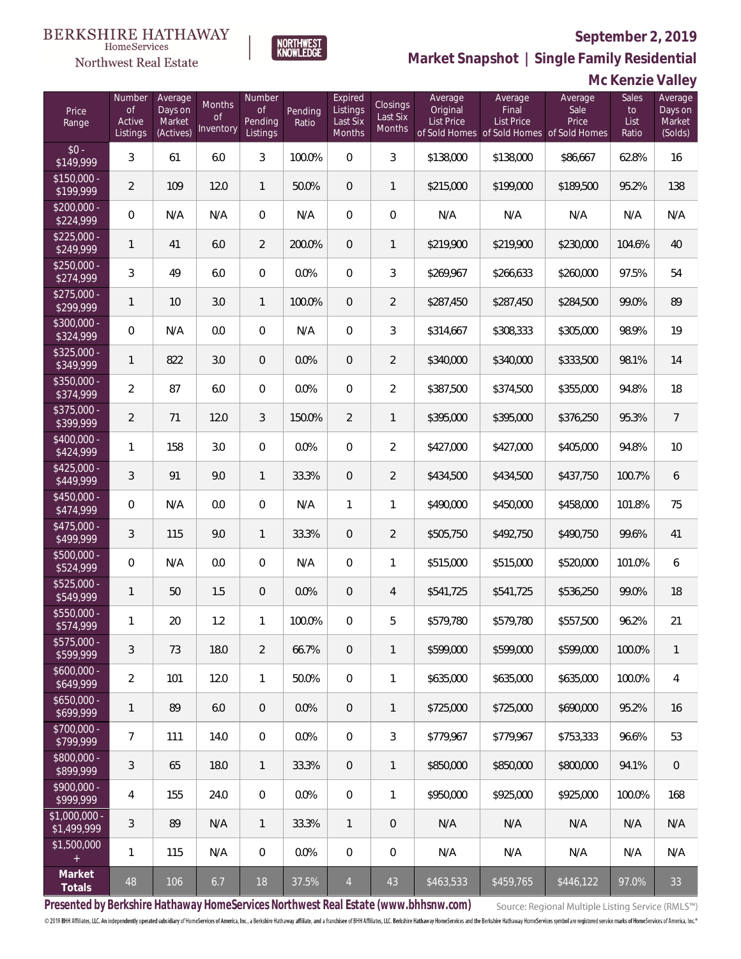**Mc Kenzie Valley**



**Market Snapshot | Single Family Residential**

#### HomeServices Northwest Real Estate

| Price<br>Range               | Number<br><b>of</b><br>Active<br>Listings | Average<br>Days on<br>Market<br>(Actives) | <b>Months</b><br>0f<br>Inventory | Number<br>Οf<br>Pending<br>Listings | Pending<br>Ratio | Expired<br>Listings<br>Last Six<br>Months | Closings<br>Last Six<br><b>Months</b> | Average<br>Original<br>List Price | Average<br>Final<br><b>List Price</b><br>of Sold Homes of Sold Homes of Sold Homes | Average<br>Sale<br>Price | Sales<br>to<br>List<br>Ratio | Average<br>Days on<br>Market<br>(Solds) |
|------------------------------|-------------------------------------------|-------------------------------------------|----------------------------------|-------------------------------------|------------------|-------------------------------------------|---------------------------------------|-----------------------------------|------------------------------------------------------------------------------------|--------------------------|------------------------------|-----------------------------------------|
| $$0 -$<br>\$149,999          | 3                                         | 61                                        | 6.0                              | 3                                   | 100.0%           | $\Omega$                                  | 3                                     | \$138,000                         | \$138,000                                                                          | \$86,667                 | 62.8%                        | 16                                      |
| $$150,000 -$<br>\$199,999    | $\overline{2}$                            | 109                                       | 12.0                             | $\mathbf{1}$                        | 50.0%            | $\overline{0}$                            | $\mathbf{1}$                          | \$215,000                         | \$199,000                                                                          | \$189,500                | 95.2%                        | 138                                     |
| $$200,000 -$<br>\$224,999    | $\overline{0}$                            | N/A                                       | N/A                              | $\overline{0}$                      | N/A              | $\overline{0}$                            | $\overline{0}$                        | N/A                               | N/A                                                                                | N/A                      | N/A                          | N/A                                     |
| $$225,000 -$<br>\$249,999    | 1                                         | 41                                        | 6.0                              | $\overline{2}$                      | 200.0%           | $\overline{0}$                            | $\mathbf{1}$                          | \$219,900                         | \$219,900                                                                          | \$230,000                | 104.6%                       | 40                                      |
| $$250,000 -$<br>\$274,999    | 3                                         | 49                                        | 6.0                              | $\overline{0}$                      | 0.0%             | $\overline{0}$                            | $\mathfrak{Z}$                        | \$269,967                         | \$266,633                                                                          | \$260,000                | 97.5%                        | 54                                      |
| $$275,000 -$<br>\$299,999    | 1                                         | 10                                        | 3.0                              | $\mathbf{1}$                        | 100.0%           | $\overline{0}$                            | $\overline{2}$                        | \$287,450                         | \$287,450                                                                          | \$284,500                | 99.0%                        | 89                                      |
| $$300,000 -$<br>\$324,999    | 0                                         | N/A                                       | 0.0                              | $\overline{0}$                      | N/A              | $\overline{0}$                            | 3                                     | \$314,667                         | \$308,333                                                                          | \$305,000                | 98.9%                        | 19                                      |
| $$325,000 -$<br>\$349,999    | 1                                         | 822                                       | 3.0                              | $\overline{0}$                      | 0.0%             | $\overline{0}$                            | $\overline{2}$                        | \$340,000                         | \$340,000                                                                          | \$333,500                | 98.1%                        | 14                                      |
| $$350,000 -$<br>\$374,999    | $\overline{2}$                            | 87                                        | 6.0                              | $\overline{0}$                      | 0.0%             | $\overline{0}$                            | $\overline{2}$                        | \$387,500                         | \$374,500                                                                          | \$355,000                | 94.8%                        | 18                                      |
| $$375,000 -$<br>\$399,999    | $\overline{2}$                            | 71                                        | 12.0                             | 3                                   | 150.0%           | $\overline{2}$                            | $\mathbf{1}$                          | \$395,000                         | \$395,000                                                                          | \$376,250                | 95.3%                        | $\overline{7}$                          |
| $$400,000 -$<br>\$424,999    | 1                                         | 158                                       | 3.0                              | $\overline{0}$                      | 0.0%             | $\overline{0}$                            | $\overline{2}$                        | \$427,000                         | \$427,000                                                                          | \$405,000                | 94.8%                        | 10                                      |
| $$425,000 -$<br>\$449,999    | 3                                         | 91                                        | 9.0                              | $\mathbf{1}$                        | 33.3%            | $\overline{0}$                            | $\overline{2}$                        | \$434,500                         | \$434,500                                                                          | \$437,750                | 100.7%                       | 6                                       |
| $$450,000 -$<br>\$474,999    | $\overline{0}$                            | N/A                                       | 0.0                              | $\overline{0}$                      | N/A              | $\mathbf{1}$                              | 1                                     | \$490,000                         | \$450,000                                                                          | \$458,000                | 101.8%                       | 75                                      |
| $$475,000 -$<br>\$499,999    | 3                                         | 115                                       | 9.0                              | $\mathbf{1}$                        | 33.3%            | $\overline{0}$                            | $\overline{2}$                        | \$505,750                         | \$492,750                                                                          | \$490,750                | 99.6%                        | 41                                      |
| $$500,000 -$<br>\$524,999    | $\overline{0}$                            | N/A                                       | 0.0                              | $\overline{0}$                      | N/A              | $\overline{0}$                            | 1                                     | \$515,000                         | \$515,000                                                                          | \$520,000                | 101.0%                       | $\boldsymbol{6}$                        |
| $$525,000 -$<br>\$549,999    | 1                                         | 50                                        | 1.5                              | $\overline{0}$                      | 0.0%             | $\overline{0}$                            | $\overline{4}$                        | \$541,725                         | \$541,725                                                                          | \$536,250                | 99.0%                        | 18                                      |
| \$550,000 -<br>\$574,999     | 1                                         | 20                                        | 1.2                              | $\mathbf{1}$                        | 100.0%           | $\overline{0}$                            | 5                                     | \$579,780                         | \$579,780                                                                          | \$557,500                | 96.2%                        | 21                                      |
| \$575,000 -<br>\$599,999     | 3                                         | 73                                        | 18.0                             | $\overline{2}$                      | 66.7%            | $\theta$                                  | $\mathbf{1}$                          | \$599,000                         | \$599,000                                                                          | \$599,000                | 100.0%                       | $\mathbf{1}$                            |
| $$600,000 -$<br>\$649,999    | $\overline{2}$                            | 101                                       | 12.0                             | $\mathbf{1}$                        | 50.0%            | $\overline{0}$                            | 1                                     | \$635,000                         | \$635,000                                                                          | \$635,000                | 100.0%                       | 4                                       |
| \$650,000 -<br>\$699,999     | 1                                         | 89                                        | 6.0                              | $\overline{0}$                      | 0.0%             | $\sqrt{2}$                                | 1                                     | \$725,000                         | \$725,000                                                                          | \$690,000                | 95.2%                        | 16                                      |
| \$700,000 -<br>\$799,999     | 7                                         | 111                                       | 14.0                             | $\overline{0}$                      | 0.0%             | $\overline{0}$                            | 3                                     | \$779,967                         | \$779,967                                                                          | \$753,333                | 96.6%                        | 53                                      |
| \$800,000 -<br>\$899,999     | 3                                         | 65                                        | 18.0                             | $\mathbf{1}$                        | 33.3%            | $\overline{0}$                            | 1                                     | \$850,000                         | \$850,000                                                                          | \$800,000                | 94.1%                        | $\,0\,$                                 |
| \$900,000 -<br>\$999,999     | 4                                         | 155                                       | 24.0                             | $\overline{0}$                      | 0.0%             | $\mathbf 0$                               | 1                                     | \$950,000                         | \$925,000                                                                          | \$925,000                | 100.0%                       | 168                                     |
| \$1,000,000 -<br>\$1,499,999 | 3                                         | 89                                        | N/A                              | $\mathbf{1}$                        | 33.3%            | $\mathbf{1}$                              | $\mathbf 0$                           | N/A                               | N/A                                                                                | N/A                      | N/A                          | N/A                                     |
| \$1,500,000<br>$+$           | 1                                         | 115                                       | N/A                              | $\overline{0}$                      | 0.0%             | $\mathbf 0$                               | $\mathbf 0$                           | N/A                               | N/A                                                                                | N/A                      | N/A                          | N/A                                     |
| Market<br>Totals             | 48                                        | 106                                       | 6.7                              | 18                                  | 37.5%            | $\overline{4}$                            | 43                                    | \$463,533                         | \$459,765                                                                          | \$446,122                | 97.0%                        | 33                                      |

**Presented by Berkshire Hathaway HomeServices Northwest Real Estate (www.bhhsnw.com)**

Source: Regional Multiple Listing Service (RMLS™)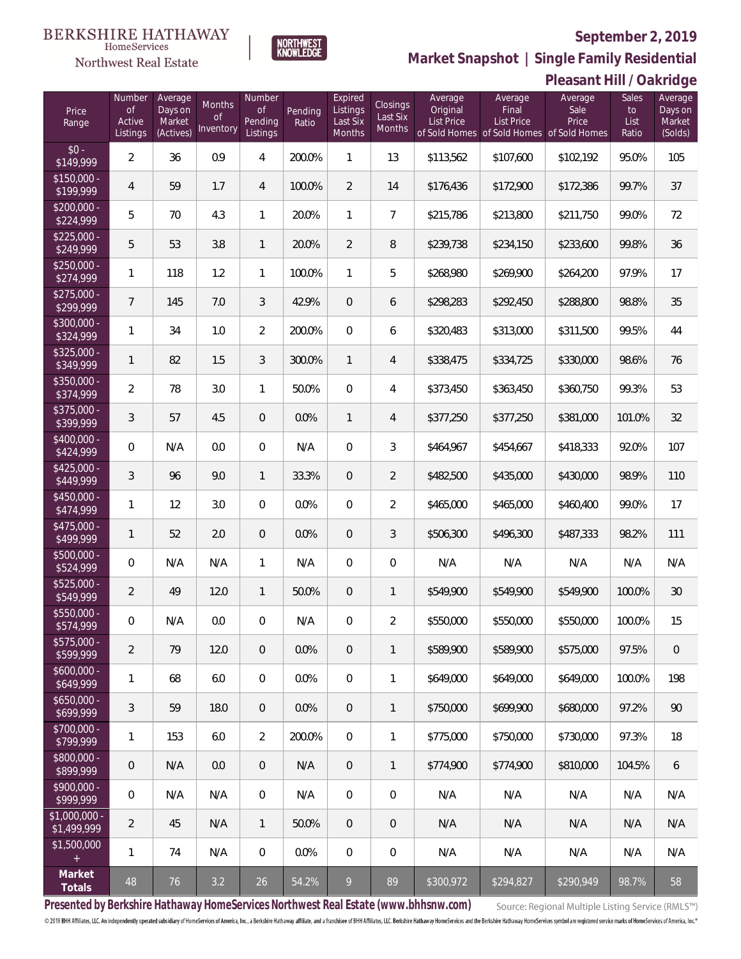

 $\label{lem:sevices} \textsc{Home} \textsc{Service} \textsc{s}$ 

**Market Snapshot | Single Family Residential**

|                               |                                           |                                           |                           |                                     |                  |                                           |                                |                                          |                                                                                    | Pleasant Hill / Oakridge |                              |                                         |
|-------------------------------|-------------------------------------------|-------------------------------------------|---------------------------|-------------------------------------|------------------|-------------------------------------------|--------------------------------|------------------------------------------|------------------------------------------------------------------------------------|--------------------------|------------------------------|-----------------------------------------|
| Price<br>Range                | Number<br><b>of</b><br>Active<br>Listings | Average<br>Days on<br>Market<br>(Actives) | Months<br>0f<br>Inventory | Number<br>Οf<br>Pending<br>Listings | Pending<br>Ratio | Expired<br>Listings<br>Last Six<br>Months | Closings<br>Last Six<br>Months | Average<br>Original<br><b>List Price</b> | Average<br>Final<br><b>List Price</b><br>of Sold Homes of Sold Homes of Sold Homes | Average<br>Sale<br>Price | Sales<br>to<br>List<br>Ratio | Average<br>Days on<br>Market<br>(Solds) |
| $$0 -$<br>\$149,999           | $\overline{2}$                            | 36                                        | 0.9                       | 4                                   | 200.0%           | $\mathbf{1}$                              | 13                             | \$113,562                                | \$107,600                                                                          | \$102,192                | 95.0%                        | 105                                     |
| $$150,000 -$<br>\$199,999     | 4                                         | 59                                        | 1.7                       | 4                                   | 100.0%           | $\overline{2}$                            | 14                             | \$176,436                                | \$172,900                                                                          | \$172,386                | 99.7%                        | 37                                      |
| $$200,000 -$<br>\$224,999     | 5                                         | 70                                        | 4.3                       | $\mathbf{1}$                        | 20.0%            | $\mathbf{1}$                              | $\overline{7}$                 | \$215,786                                | \$213,800                                                                          | \$211,750                | 99.0%                        | 72                                      |
| $$225,000 -$<br>\$249,999     | 5                                         | 53                                        | 3.8                       | $\mathbf{1}$                        | 20.0%            | $\overline{2}$                            | 8                              | \$239,738                                | \$234,150                                                                          | \$233,600                | 99.8%                        | 36                                      |
| $$250,000 -$<br>\$274,999     | $\mathbf{1}$                              | 118                                       | 1.2                       | $\mathbf{1}$                        | 100.0%           | $\mathbf{1}$                              | 5                              | \$268,980                                | \$269,900                                                                          | \$264,200                | 97.9%                        | 17                                      |
| $$275,000 -$<br>\$299,999     | $\overline{7}$                            | 145                                       | 7.0                       | 3                                   | 42.9%            | $\overline{0}$                            | 6                              | \$298,283                                | \$292,450                                                                          | \$288,800                | 98.8%                        | 35                                      |
| $$300,000 -$<br>\$324,999     | $\mathbf{1}$                              | 34                                        | 1.0                       | $\overline{2}$                      | 200.0%           | $\mathbf 0$                               | 6                              | \$320,483                                | \$313,000                                                                          | \$311,500                | 99.5%                        | 44                                      |
| $$325,000 -$<br>\$349,999     | $\mathbf{1}$                              | 82                                        | 1.5                       | 3                                   | 300.0%           | $\overline{1}$                            | $\overline{4}$                 | \$338,475                                | \$334,725                                                                          | \$330,000                | 98.6%                        | 76                                      |
| $$350,000 -$<br>\$374,999     | $\overline{2}$                            | 78                                        | 3.0                       | $\mathbf{1}$                        | 50.0%            | $\mathbf 0$                               | $\overline{4}$                 | \$373,450                                | \$363,450                                                                          | \$360,750                | 99.3%                        | 53                                      |
| $$375,000 -$<br>\$399,999     | 3                                         | 57                                        | 4.5                       | $\overline{0}$                      | 0.0%             | $\mathbf{1}$                              | $\overline{4}$                 | \$377,250                                | \$377,250                                                                          | \$381,000                | 101.0%                       | 32                                      |
| $$400,000 -$<br>\$424,999     | $\mathbf 0$                               | N/A                                       | 0.0                       | $\mathbf 0$                         | N/A              | $\mathbf 0$                               | $\sqrt{3}$                     | \$464,967                                | \$454,667                                                                          | \$418,333                | 92.0%                        | 107                                     |
| $$425,000 -$<br>\$449,999     | 3                                         | 96                                        | 9.0                       | $\mathbf{1}$                        | 33.3%            | $\overline{0}$                            | $\overline{2}$                 | \$482,500                                | \$435,000                                                                          | \$430,000                | 98.9%                        | 110                                     |
| $$450,000 -$<br>\$474,999     | $\mathbf{1}$                              | 12                                        | 3.0                       | $\overline{0}$                      | 0.0%             | $\mathbf{0}$                              | $\overline{2}$                 | \$465,000                                | \$465,000                                                                          | \$460,400                | 99.0%                        | 17                                      |
| $$475,000 -$<br>\$499,999     | 1                                         | 52                                        | 2.0                       | $\overline{0}$                      | 0.0%             | $\overline{0}$                            | $\mathcal{S}$                  | \$506,300                                | \$496,300                                                                          | \$487,333                | 98.2%                        | 111                                     |
| $$500,000 -$<br>\$524,999     | $\mathbf 0$                               | N/A                                       | N/A                       | $\mathbf{1}$                        | N/A              | $\mathbf{0}$                              | $\mathbf 0$                    | N/A                                      | N/A                                                                                | N/A                      | N/A                          | N/A                                     |
| $$525,000 -$<br>\$549,999     | $\overline{2}$                            | 49                                        | 12.0                      | $\mathbf{1}$                        | 50.0%            | $\overline{0}$                            | $\mathbf{1}$                   | \$549,900                                | \$549,900                                                                          | \$549,900                | 100.0%                       | 30                                      |
| \$550,000<br>\$574,999        | 0                                         | N/A                                       | 0.0                       | $\mathbf{0}$                        | N/A              | $\mathbf{0}$                              | $\overline{2}$                 | \$550,000                                | \$550,000                                                                          | \$550,000                | 100.0%                       | 15                                      |
| $$575,000 -$<br>\$599,999     | $\overline{2}$                            | 79                                        | 12.0                      | $\overline{0}$                      | 0.0%             | $\mathbf{0}$                              | $\mathbb{1}$                   | \$589,900                                | \$589,900                                                                          | \$575,000                | 97.5%                        | $\overline{0}$                          |
| $$600,000 -$<br>\$649,999     | 1                                         | 68                                        | 6.0                       | $\overline{0}$                      | 0.0%             | $\mathbf 0$                               | 1                              | \$649,000                                | \$649,000                                                                          | \$649,000                | 100.0%                       | 198                                     |
| $$650,000 -$<br>\$699,999     | $\mathfrak{Z}$                            | 59                                        | 18.0                      | $\overline{0}$                      | 0.0%             | $\mathbf{0}$                              | $\mathbb{1}$                   | \$750,000                                | \$699,900                                                                          | \$680,000                | 97.2%                        | 90                                      |
| $$700,000 -$<br>\$799,999     | 1                                         | 153                                       | 6.0                       | $\overline{2}$                      | 200.0%           | $\mathbf 0$                               | 1                              | \$775,000                                | \$750,000                                                                          | \$730,000                | 97.3%                        | 18                                      |
| $$800,000 -$<br>\$899,999     | $\mathbf 0$                               | N/A                                       | 0.0                       | $\overline{0}$                      | N/A              | $\mathbf{0}$                              | $\mathbf{1}$                   | \$774,900                                | \$774,900                                                                          | \$810,000                | 104.5%                       | 6                                       |
| $$900.000 -$<br>\$999,999     | 0                                         | N/A                                       | N/A                       | $\mathbf 0$                         | N/A              | $\mathbf 0$                               | $\mathbf 0$                    | N/A                                      | N/A                                                                                | N/A                      | N/A                          | N/A                                     |
| $$1,000,000 -$<br>\$1,499,999 | $\overline{2}$                            | 45                                        | N/A                       | $\mathbf{1}$                        | 50.0%            | $\mathbf{0}$                              | $\theta$                       | N/A                                      | N/A                                                                                | N/A                      | N/A                          | N/A                                     |
| \$1,500,000<br>$+$            | 1                                         | 74                                        | N/A                       | $\mathbf 0$                         | $0.0\%$          | $\mathbf 0$                               | $\mathbf 0$                    | N/A                                      | N/A                                                                                | N/A                      | N/A                          | N/A                                     |
| Market<br>Totals              | 48                                        | 76                                        | 3.2                       | 26                                  | 54.2%            | $\overline{9}$                            | 89                             | \$300,972                                | \$294,827                                                                          | \$290,949                | 98.7%                        | 58                                      |

**Presented by Berkshire Hathaway HomeServices Northwest Real Estate (www.bhhsnw.com)**

Source: Regional Multiple Listing Service (RMLS™)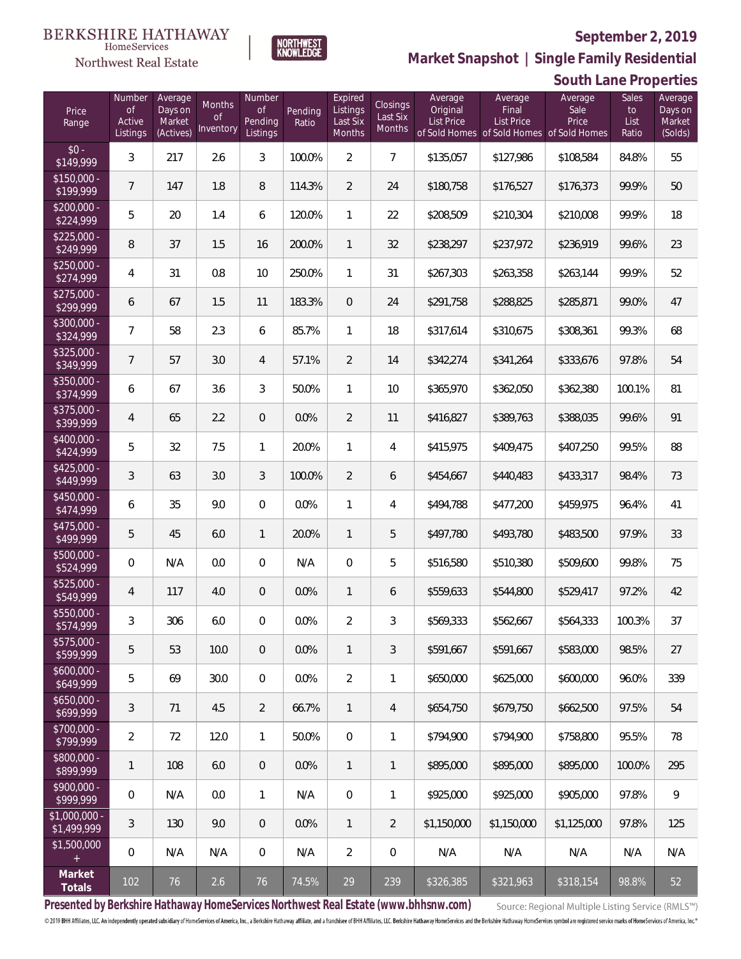**South Lane Properties**

Average Sales Average



Number

**NORTHWEST**<br>KNOWLEDGE

Expired

Average

**Northwest Real Estate** 

Number Average

 $$15$ <br> $$1<sup>0</sup>$ 

 $\frac{$30}{$30}$ 

 $\frac{1}{\$32}$ 

 $\frac{$40}{$40}$ 

 $\frac{$42}{$44}$ 

 $\frac{$45}{$4}$ 

 $\frac{$47}{$40}$ 

 $$50$ <br>\$52

 $$52$ <br> $$54$ 

 $$55$ <br> $$5$ 

 $$57$ <br>\$50

 $$60$ <br>\$64

 $$65$ <br>\$60

 $$70$ <br> $$7^0$ 

\$80<br>\$80

 $$90$ 

 $$1,0$ 

 $$1,5$ 

**Market Snapshot | Single Family Residential**

Average

| Price<br>Range                   | $\circ f$<br>Active<br>Listings | Days on<br>Market<br>(Actives) | <b>Months</b><br>Οf<br>Inventory | <b>of</b><br>Pending<br>Listings | Pending<br>Ratio | Listings<br>Last Six<br>Months | Closings<br>Last Six<br>Months | Original<br>List Price<br>of Sold Homes | Final<br><b>List Price</b><br>of Sold Homes of Sold Homes | Sale<br>Price | to<br>List<br>Ratio | Days or<br>Market<br>(Solds) |
|----------------------------------|---------------------------------|--------------------------------|----------------------------------|----------------------------------|------------------|--------------------------------|--------------------------------|-----------------------------------------|-----------------------------------------------------------|---------------|---------------------|------------------------------|
| $$0 -$<br>\$149,999              | 3                               | 217                            | 2.6                              | 3                                | 100.0%           | $\overline{2}$                 | $\overline{7}$                 | \$135,057                               | \$127,986                                                 | \$108,584     | 84.8%               | 55                           |
| $$150,000 -$<br>\$199,999        | $\overline{7}$                  | 147                            | 1.8                              | 8                                | 114.3%           | $\overline{2}$                 | 24                             | \$180,758                               | \$176,527                                                 | \$176,373     | 99.9%               | 50                           |
| $\sqrt{$200,000}$ -<br>\$224,999 | 5                               | 20                             | 1.4                              | 6                                | 120.0%           | 1                              | 22                             | \$208,509                               | \$210,304                                                 | \$210,008     | 99.9%               | 18                           |
| $$225,000 -$<br>\$249,999        | 8                               | 37                             | 1.5                              | 16                               | 200.0%           | $\mathbf{1}$                   | 32                             | \$238,297                               | \$237,972                                                 | \$236,919     | 99.6%               | 23                           |
| $$250,000 -$<br>\$274,999        | 4                               | 31                             | 0.8                              | 10                               | 250.0%           | 1                              | 31                             | \$267,303                               | \$263,358                                                 | \$263,144     | 99.9%               | 52                           |
| $$275,000 -$<br>\$299,999        | 6                               | 67                             | 1.5                              | 11                               | 183.3%           | 0                              | 24                             | \$291,758                               | \$288,825                                                 | \$285,871     | 99.0%               | 47                           |
| \$300,000 -<br>\$324,999         | 7                               | 58                             | 2.3                              | 6                                | 85.7%            | 1                              | 18                             | \$317,614                               | \$310,675                                                 | \$308,361     | 99.3%               | 68                           |
| \$325,000 -<br>\$349,999         | $\overline{7}$                  | 57                             | 3.0                              | 4                                | 57.1%            | $\overline{2}$                 | 14                             | \$342,274                               | \$341,264                                                 | \$333,676     | 97.8%               | 54                           |
| \$350,000 -<br>\$374,999         | 6                               | 67                             | 3.6                              | 3                                | 50.0%            | 1                              | 10                             | \$365,970                               | \$362,050                                                 | \$362,380     | 100.1%              | 81                           |
| \$375,000 -<br>\$399,999         | $\overline{4}$                  | 65                             | 2.2                              | $\theta$                         | 0.0%             | $\overline{2}$                 | 11                             | \$416,827                               | \$389,763                                                 | \$388,035     | 99.6%               | 91                           |
| \$400,000 -<br>\$424,999         | 5                               | 32                             | 7.5                              | 1                                | 20.0%            | 1                              | $\overline{4}$                 | \$415,975                               | \$409,475                                                 | \$407,250     | 99.5%               | 88                           |
| \$425,000 -<br>\$449,999         | 3                               | 63                             | 3.0                              | 3                                | 100.0%           | $\overline{2}$                 | 6                              | \$454,667                               | \$440,483                                                 | \$433,317     | 98.4%               | 73                           |
| \$450,000 -<br>\$474,999         | 6                               | 35                             | 9.0                              | 0                                | 0.0%             | 1                              | $\overline{4}$                 | \$494,788                               | \$477,200                                                 | \$459,975     | 96.4%               | 41                           |
| \$475,000 -<br>\$499,999         | 5                               | 45                             | 6.0                              | 1                                | 20.0%            | $\mathbf{1}$                   | 5                              | \$497,780                               | \$493,780                                                 | \$483,500     | 97.9%               | 33                           |
| \$500,000 -<br>\$524,999         | 0                               | N/A                            | 0.0                              | 0                                | N/A              | $\mathbf 0$                    | 5                              | \$516,580                               | \$510,380                                                 | \$509,600     | 99.8%               | 75                           |
| \$525,000 -<br>\$549,999         | $\overline{4}$                  | 117                            | 4.0                              | $\theta$                         | 0.0%             | 1                              | 6                              | \$559,633                               | \$544,800                                                 | \$529,417     | 97.2%               | 42                           |
| \$550,000 -<br>\$574,999         | 3                               | 306                            | 6.0                              | 0                                | 0.0%             | $\overline{2}$                 | 3                              | \$569,333                               | \$562,667                                                 | \$564,333     | 100.3%              | 37                           |
| $$575,000 -$<br>\$599,999        | 5                               | 53                             | 10.0                             | $\overline{0}$                   | 0.0%             | 1                              | 3                              | \$591,667                               | \$591,667                                                 | \$583,000     | 98.5%               | 27                           |
| $$600,000 -$<br>\$649,999        | 5                               | 69                             | 30.0                             | 0                                | 0.0%             | $\overline{2}$                 | $\mathbf{1}$                   | \$650,000                               | \$625,000                                                 | \$600,000     | 96.0%               | 339                          |
| $$650,000 -$<br>\$699,999        | 3                               | 71                             | 4.5                              | $\overline{2}$                   | 66.7%            | 1                              | $\overline{4}$                 | \$654.750                               | \$679,750                                                 | \$662,500     | 97.5%               | 54                           |
| \$700,000 -<br>\$799,999         | $\overline{2}$                  | 72                             | 12.0                             | $\mathbf{1}$                     | 50.0%            | 0                              | $\mathbf{1}$                   | \$794,900                               | \$794.900                                                 | \$758,800     | 95.5%               | 78                           |
| \$800,000 -<br>\$899,999         | 1                               | 108                            | 6.0                              | $\mathbf 0$                      | 0.0%             | 1                              | $\mathbf{1}$                   | \$895,000                               | \$895,000                                                 | \$895,000     | 100.0%              | 295                          |
| \$900,000 -<br>\$999,999         | $\overline{0}$                  | N/A                            | 0.0                              | $\mathbf{1}$                     | N/A              | 0                              | $\mathbf{1}$                   | \$925,000                               | \$925,000                                                 | \$905,000     | 97.8%               | 9                            |
| \$1,000,000 -<br>\$1,499,999     | 3                               | 130                            | 9.0                              | $\mathbf 0$                      | 0.0%             | $\mathbf{1}$                   | $\overline{2}$                 | \$1,150,000                             | \$1,150,000                                               | \$1,125,000   | 97.8%               | 125                          |
| \$1,500,000                      | 0                               | N/A                            | N/A                              | 0                                | N/A              | $\overline{2}$                 | $\mathbf 0$                    | N/A                                     | N/A                                                       | N/A           | N/A                 | N/A                          |
| Market<br>Totals                 | 102                             | 76                             | 2.6                              | 76                               | 74.5%            | 29                             | 239                            | \$326,385                               | \$321,963                                                 | \$318,154     | 98.8%               | 52                           |

**Presented by Berkshire Hathaway HomeServices Northwest Real Estate (www.bhhsnw.com)**

Source: Regional Multiple Listing Service (RMLS™)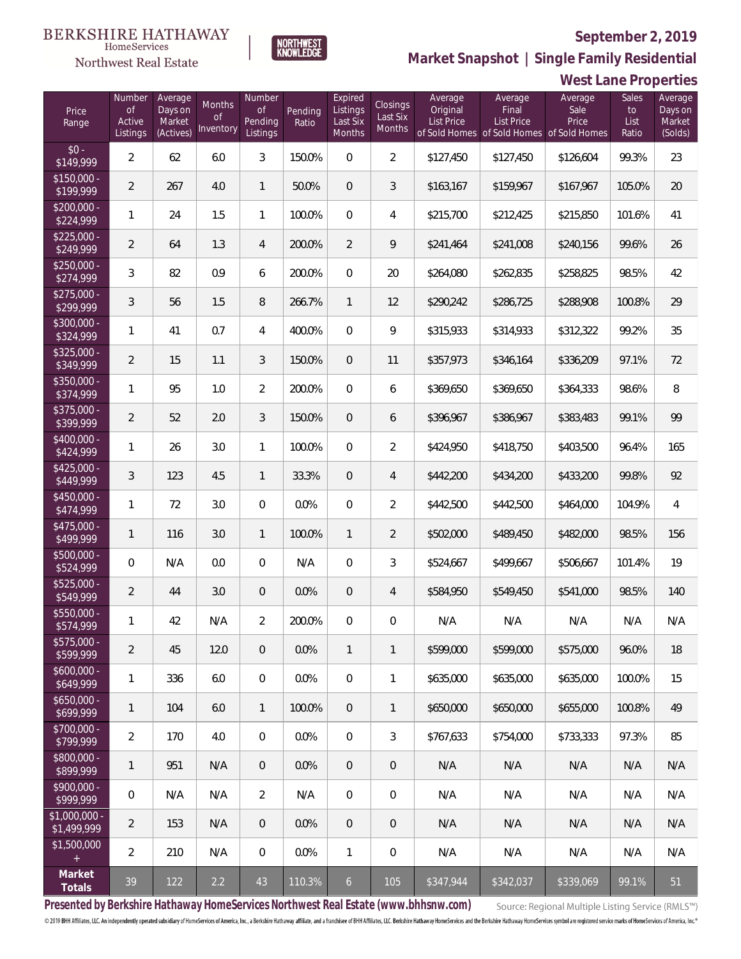

NORTHWEST<br>KNOWLEDGE

Northwest Real Estate

**Market Snapshot | Single Family Residential**

|                               | West Lane Properties                      |                                           |                           |                                            |                  |                                           |                                |                                          |                                                                                    |                          |                              |                                         |
|-------------------------------|-------------------------------------------|-------------------------------------------|---------------------------|--------------------------------------------|------------------|-------------------------------------------|--------------------------------|------------------------------------------|------------------------------------------------------------------------------------|--------------------------|------------------------------|-----------------------------------------|
| Price<br>Range                | Number<br><b>of</b><br>Active<br>Listings | Average<br>Days on<br>Market<br>(Actives) | Months<br>0f<br>Inventory | Number<br><b>of</b><br>Pending<br>Listings | Pending<br>Ratio | Expired<br>Listings<br>Last Six<br>Months | Closings<br>Last Six<br>Months | Average<br>Original<br><b>List Price</b> | Average<br>Final<br><b>List Price</b><br>of Sold Homes of Sold Homes of Sold Homes | Average<br>Sale<br>Price | Sales<br>to<br>List<br>Ratio | Average<br>Days on<br>Market<br>(Solds) |
| $$0 -$<br>\$149,999           | $\overline{2}$                            | 62                                        | 6.0                       | $\mathfrak{Z}$                             | 150.0%           | $\mathbf 0$                               | $\overline{2}$                 | \$127,450                                | \$127,450                                                                          | \$126,604                | 99.3%                        | 23                                      |
| $$150,000 -$<br>\$199,999     | $\overline{2}$                            | 267                                       | 4.0                       | $\mathbf{1}$                               | 50.0%            | $\overline{0}$                            | 3                              | \$163,167                                | \$159,967                                                                          | \$167,967                | 105.0%                       | 20                                      |
| $$200,000 -$<br>\$224,999     | 1                                         | 24                                        | 1.5                       | $\mathbf{1}$                               | 100.0%           | $\overline{0}$                            | 4                              | \$215,700                                | \$212,425                                                                          | \$215,850                | 101.6%                       | 41                                      |
| $$225,000 -$<br>\$249,999     | $\overline{2}$                            | 64                                        | 1.3                       | 4                                          | 200.0%           | $\overline{2}$                            | 9                              | \$241,464                                | \$241,008                                                                          | \$240,156                | 99.6%                        | 26                                      |
| $$250,000 -$<br>\$274,999     | 3                                         | 82                                        | 0.9                       | 6                                          | 200.0%           | $\overline{0}$                            | 20                             | \$264,080                                | \$262,835                                                                          | \$258,825                | 98.5%                        | 42                                      |
| $$275,000 -$<br>\$299,999     | 3                                         | 56                                        | 1.5                       | 8                                          | 266.7%           | $\mathbf{1}$                              | 12                             | \$290,242                                | \$286,725                                                                          | \$288,908                | 100.8%                       | 29                                      |
| $$300,000 -$<br>\$324,999     | 1                                         | 41                                        | 0.7                       | 4                                          | 400.0%           | $\overline{0}$                            | 9                              | \$315,933                                | \$314,933                                                                          | \$312,322                | 99.2%                        | 35                                      |
| \$325,000 -<br>\$349,999      | $\overline{2}$                            | 15                                        | 1.1                       | 3                                          | 150.0%           | $\overline{0}$                            | 11                             | \$357,973                                | \$346,164                                                                          | \$336,209                | 97.1%                        | 72                                      |
| \$350,000 -<br>\$374,999      | 1                                         | 95                                        | 1.0                       | $\overline{2}$                             | 200.0%           | $\mathbf 0$                               | 6                              | \$369,650                                | \$369,650                                                                          | \$364,333                | 98.6%                        | 8                                       |
| \$375,000 -<br>\$399,999      | $\overline{2}$                            | 52                                        | 2.0                       | 3                                          | 150.0%           | $\overline{0}$                            | 6                              | \$396,967                                | \$386,967                                                                          | \$383,483                | 99.1%                        | 99                                      |
| \$400,000 -<br>\$424,999      | 1                                         | 26                                        | 3.0                       | $\mathbf{1}$                               | 100.0%           | $\mathbf 0$                               | $\overline{2}$                 | \$424,950                                | \$418,750                                                                          | \$403,500                | 96.4%                        | 165                                     |
| $$425,000 -$<br>\$449,999     | 3                                         | 123                                       | 4.5                       | $\mathbf{1}$                               | 33.3%            | $\overline{0}$                            | 4                              | \$442,200                                | \$434,200                                                                          | \$433,200                | 99.8%                        | 92                                      |
| \$450,000 -<br>\$474,999      | 1                                         | 72                                        | 3.0                       | 0                                          | 0.0%             | $\mathbf 0$                               | $\overline{2}$                 | \$442,500                                | \$442,500                                                                          | \$464,000                | 104.9%                       | 4                                       |
| $$475,000 -$<br>\$499,999     | $\mathbf{1}$                              | 116                                       | 3.0                       | $\mathbf{1}$                               | 100.0%           | $\mathbf{1}$                              | $\overline{2}$                 | \$502,000                                | \$489,450                                                                          | \$482,000                | 98.5%                        | 156                                     |
| \$500,000 -<br>\$524,999      | 0                                         | N/A                                       | 0.0                       | 0                                          | N/A              | $\mathbf 0$                               | 3                              | \$524,667                                | \$499,667                                                                          | \$506,667                | 101.4%                       | 19                                      |
| \$525,000 -<br>\$549,999      | $\overline{2}$                            | 44                                        | 3.0                       | $\overline{0}$                             | 0.0%             | 0                                         | 4                              | \$584,950                                | \$549,450                                                                          | \$541,000                | 98.5%                        | 140                                     |
| \$550,000<br>\$574,999        | $\mathbf{1}$                              | 42                                        | N/A                       | 2                                          | 200.0%           | $\mathbf{0}$                              | $\mathbf{0}$                   | N/A                                      | N/A                                                                                | N/A                      | N/A                          | N/A                                     |
| \$575,000 -<br>\$599,999      | $\overline{2}$                            | 45                                        | 12.0                      | $\overline{0}$                             | 0.0%             | $\mathbf{1}$                              | 1                              | \$599,000                                | \$599,000                                                                          | \$575,000                | 96.0%                        | 18                                      |
| $$600.000 -$<br>\$649,999     | 1                                         | 336                                       | 6.0                       | 0                                          | 0.0%             | $\mathbf 0$                               | 1                              | \$635,000                                | \$635,000                                                                          | \$635,000                | 100.0%                       | 15                                      |
| $$650,000 -$<br>\$699,999     | 1                                         | 104                                       | 6.0                       | $\mathbf{1}$                               | 100.0%           | $\mathbf{0}$                              | 1                              | \$650,000                                | \$650,000                                                                          | \$655,000                | 100.8%                       | 49                                      |
| $$700.000 -$<br>\$799,999     | $\overline{2}$                            | 170                                       | 4.0                       | 0                                          | 0.0%             | $\mathbf 0$                               | 3                              | \$767.633                                | \$754,000                                                                          | \$733,333                | 97.3%                        | 85                                      |
| $$800,000 -$<br>\$899,999     | 1                                         | 951                                       | N/A                       | $\overline{0}$                             | 0.0%             | $\mathbf{0}$                              | $\overline{0}$                 | N/A                                      | N/A                                                                                | N/A                      | N/A                          | N/A                                     |
| $$900.000 -$<br>\$999,999     | 0                                         | N/A                                       | N/A                       | $\overline{2}$                             | N/A              | $\mathbf 0$                               | 0                              | N/A                                      | N/A                                                                                | N/A                      | N/A                          | N/A                                     |
| $$1,000,000$ -<br>\$1,499,999 | $\overline{2}$                            | 153                                       | N/A                       | $\overline{0}$                             | $0.0\%$          | $\mathbf{0}$                              | $\overline{0}$                 | N/A                                      | N/A                                                                                | N/A                      | N/A                          | N/A                                     |
| \$1,500,000<br>$+$            | $\overline{2}$                            | 210                                       | N/A                       | $\overline{0}$                             | $0.0\%$          | 1                                         | 0                              | N/A                                      | N/A                                                                                | N/A                      | N/A                          | N/A                                     |
| Market<br>Totals              | 39                                        | 122                                       | 2.2                       | 43                                         | 110.3%           | 6                                         | 105                            | \$347,944                                | \$342,037                                                                          | \$339,069                | 99.1%                        | 51                                      |

**Presented by Berkshire Hathaway HomeServices Northwest Real Estate (www.bhhsnw.com)**

Source: Regional Multiple Listing Service (RMLS™)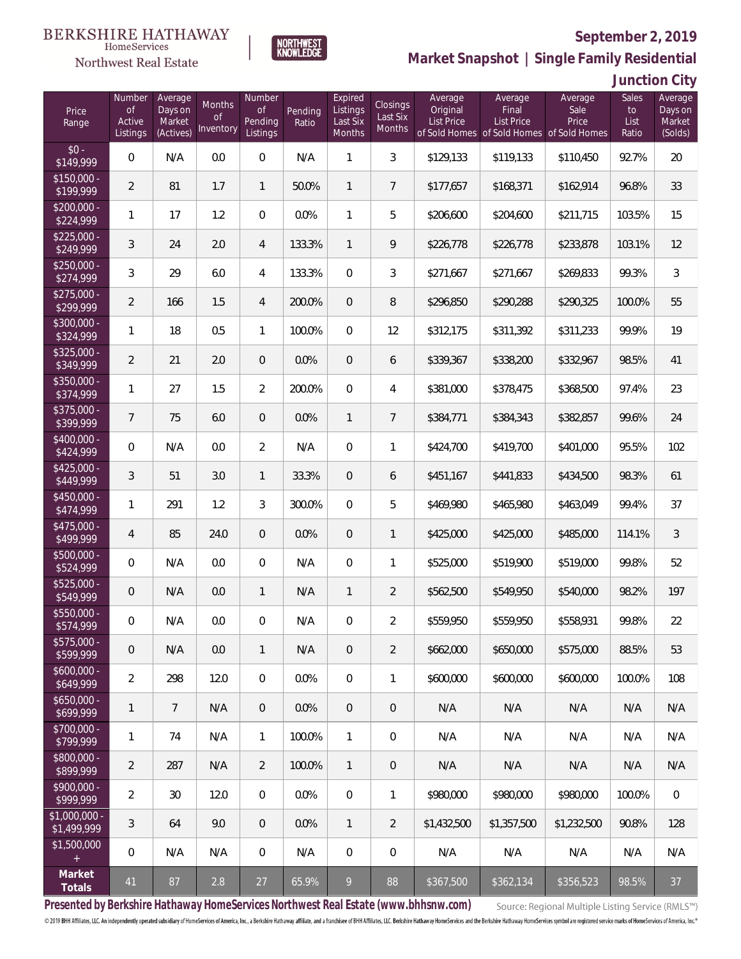

 $\label{lem:sevices} \textsc{Home} \textsc{Service} \textsc{s}$ 

**Market Snapshot | Single Family Residential**

# **Junction City**

| Price<br>Range             | Number<br>0f<br>Active<br>Listings | Average<br>Days on<br>Market<br>(Actives) | Months<br>0f<br>Inventory | Number<br><b>of</b><br>Pending<br>Listings | Pending<br>Ratio | Expired<br>Listings<br>Last Six<br>Months | Closings<br>Last Six<br>Months | Average<br>Original<br><b>List Price</b> | Average<br>Final<br><b>List Price</b><br>of Sold Homes of Sold Homes of Sold Homes | Average<br>Sale<br>Price | Sales<br>to<br>List<br>Ratio | Average<br>Days on<br>Market<br>(Solds) |
|----------------------------|------------------------------------|-------------------------------------------|---------------------------|--------------------------------------------|------------------|-------------------------------------------|--------------------------------|------------------------------------------|------------------------------------------------------------------------------------|--------------------------|------------------------------|-----------------------------------------|
| $$0 -$<br>\$149,999        | 0                                  | N/A                                       | 0.0                       | $\boldsymbol{0}$                           | N/A              | 1                                         | 3                              | \$129,133                                | \$119,133                                                                          | \$110,450                | 92.7%                        | 20                                      |
| $$150,000 -$<br>\$199,999  | $\overline{2}$                     | 81                                        | 1.7                       | $\mathbf{1}$                               | 50.0%            | $\mathbf{1}$                              | $\overline{7}$                 | \$177,657                                | \$168,371                                                                          | \$162,914                | 96.8%                        | 33                                      |
| $$200,000 -$<br>\$224,999  | 1                                  | 17                                        | 1.2                       | $\mathbf{0}$                               | 0.0%             | 1                                         | 5                              | \$206,600                                | \$204,600                                                                          | \$211,715                | 103.5%                       | 15                                      |
| $$225,000 -$<br>\$249,999  | 3                                  | 24                                        | 2.0                       | $\overline{4}$                             | 133.3%           | $\mathbf{1}$                              | 9                              | \$226,778                                | \$226,778                                                                          | \$233,878                | 103.1%                       | 12                                      |
| $$250,000 -$<br>\$274,999  | 3                                  | 29                                        | 6.0                       | $\overline{4}$                             | 133.3%           | $\mathbf{0}$                              | 3                              | \$271,667                                | \$271,667                                                                          | \$269,833                | 99.3%                        | $\mathfrak{Z}$                          |
| $$275,000 -$<br>\$299,999  | $\overline{2}$                     | 166                                       | 1.5                       | $\overline{4}$                             | 200.0%           | $\overline{0}$                            | 8                              | \$296,850                                | \$290,288                                                                          | \$290,325                | 100.0%                       | 55                                      |
| $$300,000 -$<br>\$324,999  | 1                                  | 18                                        | 0.5                       | $\mathbf{1}$                               | 100.0%           | $\mathbf{0}$                              | 12                             | \$312,175                                | \$311,392                                                                          | \$311,233                | 99.9%                        | 19                                      |
| $$325,000 -$<br>\$349,999  | $\overline{2}$                     | 21                                        | 2.0                       | $\theta$                                   | 0.0%             | $\overline{0}$                            | 6                              | \$339,367                                | \$338,200                                                                          | \$332,967                | 98.5%                        | 41                                      |
| $$350,000 -$<br>\$374,999  | 1                                  | 27                                        | 1.5                       | $\overline{2}$                             | 200.0%           | $\mathbf{0}$                              | 4                              | \$381,000                                | \$378,475                                                                          | \$368,500                | 97.4%                        | 23                                      |
| $$375,000 -$<br>\$399,999  | $\overline{7}$                     | 75                                        | 6.0                       | $\theta$                                   | 0.0%             | $\mathbf{1}$                              | 7                              | \$384,771                                | \$384,343                                                                          | \$382,857                | 99.6%                        | 24                                      |
| $$400,000 -$<br>\$424,999  | 0                                  | N/A                                       | 0.0                       | $\overline{2}$                             | N/A              | $\boldsymbol{0}$                          | 1                              | \$424,700                                | \$419,700                                                                          | \$401,000                | 95.5%                        | 102                                     |
| $$425,000 -$<br>\$449,999  | 3                                  | 51                                        | 3.0                       | $\mathbf{1}$                               | 33.3%            | $\overline{0}$                            | 6                              | \$451,167                                | \$441,833                                                                          | \$434,500                | 98.3%                        | 61                                      |
| $$450,000 -$<br>\$474,999  | 1                                  | 291                                       | 1.2                       | 3                                          | 300.0%           | $\overline{0}$                            | 5                              | \$469,980                                | \$465,980                                                                          | \$463,049                | 99.4%                        | 37                                      |
| $$475,000 -$<br>\$499,999  | 4                                  | 85                                        | 24.0                      | $\theta$                                   | 0.0%             | $\overline{0}$                            | $\mathbf{1}$                   | \$425,000                                | \$425,000                                                                          | \$485,000                | 114.1%                       | $\sqrt{3}$                              |
| $$500,000 -$<br>\$524,999  | 0                                  | N/A                                       | 0.0                       | 0                                          | N/A              | 0                                         | 1                              | \$525,000                                | \$519,900                                                                          | \$519,000                | 99.8%                        | 52                                      |
| $$525,000 -$<br>\$549,999  | $\mathbf 0$                        | N/A                                       | 0.0                       | 1                                          | N/A              | $\mathbf{1}$                              | 2                              | \$562,500                                | \$549,950                                                                          | \$540,000                | 98.2%                        | 197                                     |
| \$550,000 -<br>\$574,999   | 0                                  | N/A                                       | 0.0                       | 0                                          | N/A              | 0                                         | 2                              | \$559,950                                | \$559,950                                                                          | \$558,931                | 99.8%                        | 22                                      |
| $$575.000 -$<br>\$599,999  | $\theta$                           | N/A                                       | 0.0                       | $\mathbf{1}$                               | N/A              | $\mathbf 0$                               | $\overline{2}$                 | \$662,000                                | \$650,000                                                                          | \$575,000                | 88.5%                        | 53                                      |
| $$600.000 -$<br>\$649,999  | $\overline{2}$                     | 298                                       | 12.0                      | $\overline{0}$                             | 0.0%             | $\overline{0}$                            | 1                              | \$600,000                                | \$600,000                                                                          | \$600,000                | 100.0%                       | 108                                     |
| $$650,000 -$<br>\$699,999  | 1                                  | $\overline{7}$                            | N/A                       | $\overline{0}$                             | 0.0%             | $\overline{0}$                            | $\overline{0}$                 | N/A                                      | N/A                                                                                | N/A                      | N/A                          | N/A                                     |
| \$700,000 -<br>\$799,999   | 1                                  | 74                                        | N/A                       | $\mathbf{1}$                               | 100.0%           | $\mathbf{1}$                              | $\mathbf{0}$                   | N/A                                      | N/A                                                                                | N/A                      | N/A                          | N/A                                     |
| \$800,000 -<br>\$899,999   | $\overline{2}$                     | 287                                       | N/A                       | $\overline{2}$                             | 100.0%           | $\mathbf{1}$                              | $\overline{0}$                 | N/A                                      | N/A                                                                                | N/A                      | N/A                          | N/A                                     |
| $$900.000 -$<br>\$999,999  | $\overline{2}$                     | 30                                        | 12.0                      | $\overline{0}$                             | $0.0\%$          | $\mathbf 0$                               | 1                              | \$980,000                                | \$980,000                                                                          | \$980,000                | 100.0%                       | $\mathbf 0$                             |
| \$1,000,000<br>\$1,499,999 | 3                                  | 64                                        | 9.0                       | $\overline{0}$                             | $0.0\%$          | $\mathbf{1}$                              | 2                              | \$1,432,500                              | \$1,357,500                                                                        | \$1,232,500              | 90.8%                        | 128                                     |
| \$1,500,000<br>$+$         | 0                                  | N/A                                       | N/A                       | $\overline{0}$                             | N/A              | $\overline{0}$                            | 0                              | N/A                                      | N/A                                                                                | N/A                      | N/A                          | N/A                                     |
| Market<br>Totals           | 41                                 | 87                                        | 2.8                       | 27                                         | 65.9%            | 9                                         | 88                             | \$367,500                                | \$362,134                                                                          | \$356,523                | 98.5%                        | 37                                      |

**Presented by Berkshire Hathaway HomeServices Northwest Real Estate (www.bhhsnw.com)**

Source: Regional Multiple Listing Service (RMLS™)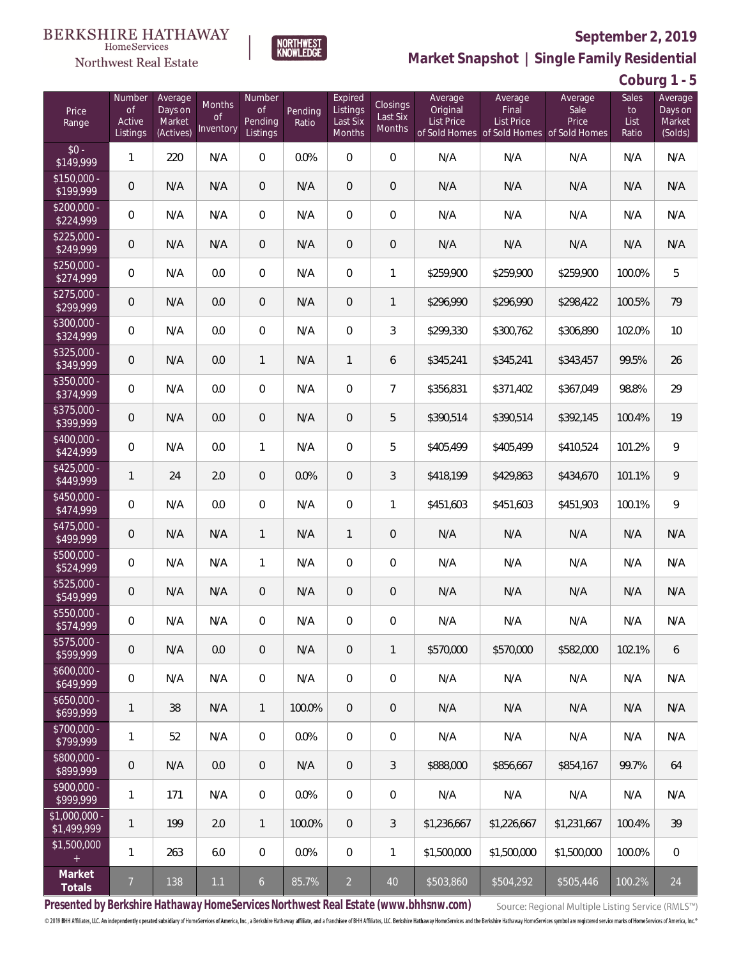

**NORTHWEST**<br>KNOWLEDGE

Northwest Real Estate

**Market Snapshot | Single Family Residential**

**Coburg 1 - 5**

| Price<br>Range                | Number<br>of<br>Active<br>Listings | Average<br>Days on<br>Market<br>(Actives) | Months<br>0f<br>Inventory | Number<br><b>of</b><br>Pending<br>Listings | Pending<br>Ratio | Expired<br>Listings<br>Last Six<br>Months | Closings<br>Last Six<br><b>Months</b> | Average<br>Original<br><b>List Price</b> | Average<br>Final<br>List Price<br>of Sold Homes of Sold Homes of Sold Homes | Average<br>Sale<br>Price | Sales<br>to<br>List<br>Ratio | Average<br>Days on<br>Market<br>(Solds) |
|-------------------------------|------------------------------------|-------------------------------------------|---------------------------|--------------------------------------------|------------------|-------------------------------------------|---------------------------------------|------------------------------------------|-----------------------------------------------------------------------------|--------------------------|------------------------------|-----------------------------------------|
| $$0 -$<br>\$149,999           | 1                                  | 220                                       | N/A                       | $\overline{0}$                             | 0.0%             | $\Omega$                                  | $\overline{0}$                        | N/A                                      | N/A                                                                         | N/A                      | N/A                          | N/A                                     |
| $$150,000 -$<br>\$199,999     | $\overline{0}$                     | N/A                                       | N/A                       | $\overline{0}$                             | N/A              | $\overline{0}$                            | $\overline{0}$                        | N/A                                      | N/A                                                                         | N/A                      | N/A                          | N/A                                     |
| $$200,000 -$<br>\$224,999     | 0                                  | N/A                                       | N/A                       | $\overline{0}$                             | N/A              | $\overline{0}$                            | $\overline{0}$                        | N/A                                      | N/A                                                                         | N/A                      | N/A                          | N/A                                     |
| $$225,000 -$<br>\$249,999     | 0                                  | N/A                                       | N/A                       | $\overline{0}$                             | N/A              | $\overline{0}$                            | $\mathbf 0$                           | N/A                                      | N/A                                                                         | N/A                      | N/A                          | N/A                                     |
| $$250,000 -$<br>\$274,999     | $\overline{0}$                     | N/A                                       | 0.0                       | $\overline{0}$                             | N/A              | $\overline{0}$                            | 1                                     | \$259,900                                | \$259,900                                                                   | \$259,900                | 100.0%                       | 5                                       |
| $$275,000 -$<br>\$299,999     | $\overline{0}$                     | N/A                                       | 0.0                       | $\overline{0}$                             | N/A              | $\overline{0}$                            | $\mathbf{1}$                          | \$296,990                                | \$296,990                                                                   | \$298,422                | 100.5%                       | 79                                      |
| \$300,000 -<br>\$324,999      | $\overline{0}$                     | N/A                                       | 0.0                       | $\overline{0}$                             | N/A              | $\overline{0}$                            | 3                                     | \$299,330                                | \$300,762                                                                   | \$306,890                | 102.0%                       | 10                                      |
| $$325,000 -$<br>\$349,999     | $\overline{0}$                     | N/A                                       | 0.0                       | $\mathbf{1}$                               | N/A              | $\mathbf{1}$                              | 6                                     | \$345,241                                | \$345,241                                                                   | \$343,457                | 99.5%                        | 26                                      |
| \$350,000 -<br>\$374,999      | $\overline{0}$                     | N/A                                       | 0.0                       | $\overline{0}$                             | N/A              | $\overline{0}$                            | $\overline{7}$                        | \$356,831                                | \$371,402                                                                   | \$367,049                | 98.8%                        | 29                                      |
| \$375,000 -<br>\$399,999      | $\boldsymbol{0}$                   | N/A                                       | 0.0                       | $\overline{0}$                             | N/A              | $\overline{0}$                            | 5                                     | \$390,514                                | \$390,514                                                                   | \$392,145                | 100.4%                       | 19                                      |
| \$400,000 -<br>\$424,999      | $\overline{0}$                     | N/A                                       | 0.0                       | $\mathbf{1}$                               | N/A              | $\Omega$                                  | 5                                     | \$405,499                                | \$405,499                                                                   | \$410,524                | 101.2%                       | $\overline{9}$                          |
| $$425,000 -$<br>\$449,999     | 1                                  | 24                                        | 2.0                       | $\overline{0}$                             | 0.0%             | $\Omega$                                  | 3                                     | \$418,199                                | \$429,863                                                                   | \$434,670                | 101.1%                       | 9                                       |
| \$450,000 -<br>\$474,999      | $\overline{0}$                     | N/A                                       | 0.0                       | $\overline{0}$                             | N/A              | $\overline{0}$                            | 1                                     | \$451,603                                | \$451,603                                                                   | \$451,903                | 100.1%                       | 9                                       |
| $$475,000 -$<br>\$499,999     | $\mathbf 0$                        | N/A                                       | N/A                       | $\mathbf{1}$                               | N/A              | $\mathbf{1}$                              | $\overline{0}$                        | N/A                                      | N/A                                                                         | N/A                      | N/A                          | N/A                                     |
| $$500,000 -$<br>\$524,999     | $\overline{0}$                     | N/A                                       | N/A                       | $\mathbf{1}$                               | N/A              | $\overline{0}$                            | 0                                     | N/A                                      | N/A                                                                         | N/A                      | N/A                          | N/A                                     |
| $$525,000 -$<br>\$549,999     | 0                                  | N/A                                       | N/A                       | $\overline{0}$                             | N/A              | $\overline{0}$                            | 0                                     | N/A                                      | N/A                                                                         | N/A                      | N/A                          | N/A                                     |
| \$550,000 -<br>\$574,999      | 0                                  | N/A                                       | N/A                       | $\overline{0}$                             | N/A              | 0                                         | 0                                     | N/A                                      | N/A                                                                         | N/A                      | N/A                          | N/A                                     |
| $$575,000 -$<br>\$599,999     | 0                                  | N/A                                       | 0.0                       | $\theta$                                   | N/A              | $\theta$                                  | $\mathbf{1}$                          | \$570,000                                | \$570,000                                                                   | \$582,000                | 102.1%                       | 6                                       |
| $$600,000 -$<br>\$649,999     | 0                                  | N/A                                       | N/A                       | 0                                          | N/A              | $\overline{0}$                            | 0                                     | N/A                                      | N/A                                                                         | N/A                      | N/A                          | N/A                                     |
| $$650,000 -$<br>\$699,999     | 1                                  | 38                                        | N/A                       | $\mathbf{1}$                               | 100.0%           | $\overline{0}$                            | 0                                     | N/A                                      | N/A                                                                         | N/A                      | N/A                          | N/A                                     |
| $$700,000 -$<br>\$799,999     | 1                                  | 52                                        | N/A                       | 0                                          | 0.0%             | $\overline{0}$                            | 0                                     | N/A                                      | N/A                                                                         | N/A                      | N/A                          | N/A                                     |
| $$800,000 -$<br>\$899,999     | $\mathbf 0$                        | N/A                                       | 0.0                       | $\theta$                                   | N/A              | $\sqrt{2}$                                | 3                                     | \$888,000                                | \$856.667                                                                   | \$854,167                | 99.7%                        | 64                                      |
| $$900,000 -$<br>\$999,999     | 1                                  | 171                                       | N/A                       | 0                                          | 0.0%             | $\overline{0}$                            | 0                                     | N/A                                      | N/A                                                                         | N/A                      | N/A                          | N/A                                     |
| $$1,000,000 -$<br>\$1,499,999 | 1                                  | 199                                       | 2.0                       | $\mathbf{1}$                               | 100.0%           | $\overline{0}$                            | 3                                     | \$1,236,667                              | \$1,226,667                                                                 | \$1,231,667              | 100.4%                       | 39                                      |
| \$1,500,000<br>$+$            | $\mathbf{1}$                       | 263                                       | 6.0                       | 0                                          | 0.0%             | $\mathbf 0$                               | 1                                     | \$1,500,000                              | \$1,500,000                                                                 | \$1,500,000              | 100.0%                       | $\,0\,$                                 |
| Market<br>Totals              | $\overline{7}$                     | 138                                       | $1.1\,$                   | $\mathfrak{b}$                             | 85.7%            | $\overline{2}$                            | 40                                    | \$503,860                                | \$504,292                                                                   | \$505,446                | 100.2%                       | 24                                      |

**Presented by Berkshire Hathaway HomeServices Northwest Real Estate (www.bhhsnw.com)**

Source: Regional Multiple Listing Service (RMLS™)